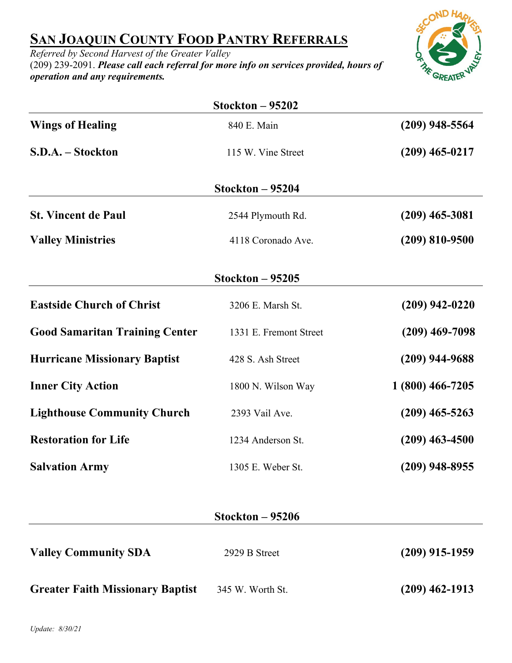## **SAN JOAQUIN COUNTY FOOD PANTRY REFERRALS**

*Referred by Second Harvest of the Greater Valley* (209) 239-2091. *Please call each referral for more info on services provided, hours of operation and any requirements.*



|                                         | Stockton $-95202$      |                  |
|-----------------------------------------|------------------------|------------------|
| <b>Wings of Healing</b>                 | 840 E. Main            | $(209)$ 948-5564 |
| S.D.A. - Stockton                       | 115 W. Vine Street     | $(209)$ 465-0217 |
|                                         | Stockton – 95204       |                  |
| <b>St. Vincent de Paul</b>              | 2544 Plymouth Rd.      | $(209)$ 465-3081 |
| <b>Valley Ministries</b>                | 4118 Coronado Ave.     | $(209)$ 810-9500 |
|                                         | Stockton $-95205$      |                  |
| <b>Eastside Church of Christ</b>        | 3206 E. Marsh St.      | $(209)$ 942-0220 |
| <b>Good Samaritan Training Center</b>   | 1331 E. Fremont Street | $(209)$ 469-7098 |
| <b>Hurricane Missionary Baptist</b>     | 428 S. Ash Street      | $(209)$ 944-9688 |
| <b>Inner City Action</b>                | 1800 N. Wilson Way     | 1 (800) 466-7205 |
| <b>Lighthouse Community Church</b>      | 2393 Vail Ave.         | $(209)$ 465-5263 |
| <b>Restoration for Life</b>             | 1234 Anderson St.      | $(209)$ 463-4500 |
| <b>Salvation Army</b>                   | 1305 E. Weber St.      | $(209)$ 948-8955 |
|                                         | Stockton $-95206$      |                  |
| <b>Valley Community SDA</b>             | 2929 B Street          | $(209)$ 915-1959 |
| <b>Greater Faith Missionary Baptist</b> | 345 W. Worth St.       | $(209)$ 462-1913 |